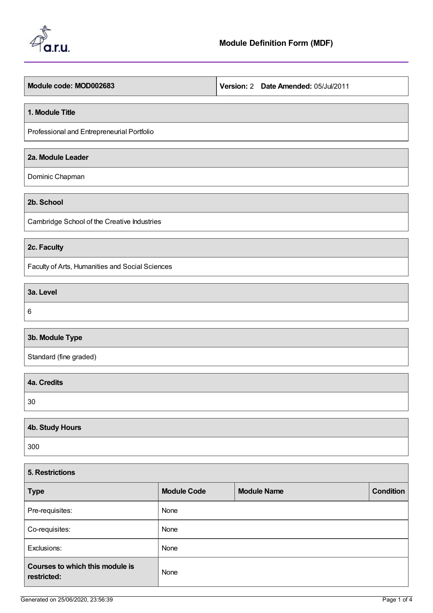

**Module code: MOD002683 Version:** 2 **Date Amended:** 05/Jul/2011

#### **1. Module Title**

Professional and Entrepreneurial Portfolio

## **2a. Module Leader**

Dominic Chapman

**2b. School**

Cambridge School of the Creative Industries

# **2c. Faculty**

Faculty of Arts, Humanities and Social Sciences

**3a. Level**

6

# **3b. Module Type**

Standard (fine graded)

| 4a. Credits |  |
|-------------|--|
| 30          |  |
|             |  |

| 4b. Study Hours |  |
|-----------------|--|
| 300             |  |

| 5. Restrictions                                |                    |                    |  |                  |
|------------------------------------------------|--------------------|--------------------|--|------------------|
| <b>Type</b>                                    | <b>Module Code</b> | <b>Module Name</b> |  | <b>Condition</b> |
| Pre-requisites:                                | None               |                    |  |                  |
| Co-requisites:                                 | None               |                    |  |                  |
| Exclusions:                                    | None               |                    |  |                  |
| Courses to which this module is<br>restricted: | None               |                    |  |                  |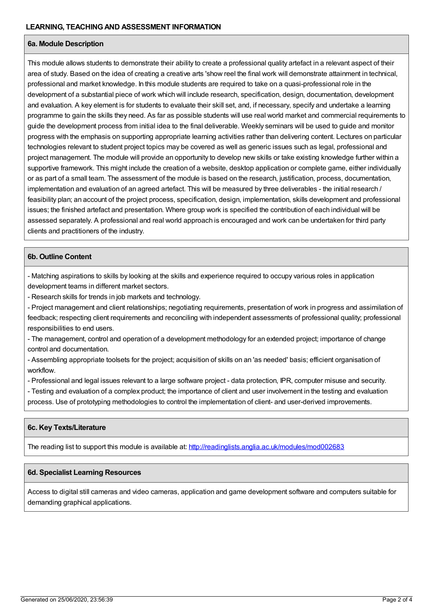## **6a. Module Description**

This module allows students to demonstrate their ability to create a professional quality artefact in a relevant aspect of their area of study. Based on the idea of creating a creative arts 'show reel the final work will demonstrate attainment in technical, professional and market knowledge. In this module students are required to take on a quasi-professional role in the development of a substantial piece of work which will include research, specification, design, documentation, development and evaluation. A key element is for students to evaluate their skill set, and, if necessary, specify and undertake a learning programme to gain the skills they need. As far as possible students will use real world market and commercial requirements to guide the development process from initial idea to the final deliverable. Weekly seminars will be used to guide and monitor progress with the emphasis on supporting appropriate learning activities rather than delivering content. Lectures on particular technologies relevant to student project topics may be covered as well as generic issues such as legal, professional and project management. The module will provide an opportunity to develop new skills or take existing knowledge further within a supportive framework. This might include the creation of a website, desktop application or complete game, either individually or as part of a small team. The assessment of the module is based on the research, justification, process, documentation, implementation and evaluation of an agreed artefact. This will be measured by three deliverables - the initial research / feasibility plan; an account of the project process, specification, design, implementation, skills development and professional issues; the finished artefact and presentation. Where group work is specified the contribution of each individual will be assessed separately. A professional and real world approach is encouraged and work can be undertaken for third party clients and practitioners of the industry.

## **6b. Outline Content**

- Matching aspirations to skills by looking at the skills and experience required to occupy various roles in application development teams in different market sectors.

- Research skills for trends in job markets and technology.

- Project management and client relationships; negotiating requirements, presentation of work in progress and assimilation of feedback; respecting client requirements and reconciling with independent assessments of professional quality; professional responsibilities to end users.

- The management, control and operation of a development methodology for an extended project; importance of change control and documentation.

- Assembling appropriate toolsets for the project; acquisition of skills on an 'as needed' basis; efficient organisation of workflow.

- Professional and legal issues relevant to a large software project - data protection, IPR, computer misuse and security.

- Testing and evaluation of a complex product; the importance of client and user involvement in the testing and evaluation process. Use of prototyping methodologies to control the implementation of client- and user-derived improvements.

#### **6c. Key Texts/Literature**

The reading list to support this module is available at: <http://readinglists.anglia.ac.uk/modules/mod002683>

#### **6d. Specialist Learning Resources**

Access to digital still cameras and video cameras, application and game development software and computers suitable for demanding graphical applications.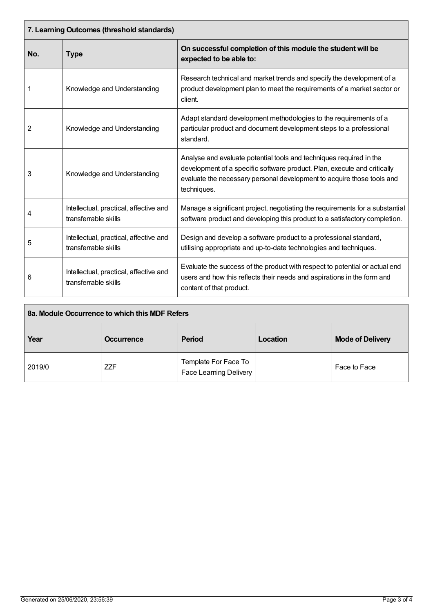| 7. Learning Outcomes (threshold standards) |                                                                |                                                                                                                                                                                                                                          |  |
|--------------------------------------------|----------------------------------------------------------------|------------------------------------------------------------------------------------------------------------------------------------------------------------------------------------------------------------------------------------------|--|
| No.                                        | <b>Type</b>                                                    | On successful completion of this module the student will be<br>expected to be able to:                                                                                                                                                   |  |
|                                            | Knowledge and Understanding                                    | Research technical and market trends and specify the development of a<br>product development plan to meet the requirements of a market sector or<br>client.                                                                              |  |
| 2                                          | Knowledge and Understanding                                    | Adapt standard development methodologies to the requirements of a<br>particular product and document development steps to a professional<br>standard.                                                                                    |  |
| 3                                          | Knowledge and Understanding                                    | Analyse and evaluate potential tools and techniques required in the<br>development of a specific software product. Plan, execute and critically<br>evaluate the necessary personal development to acquire those tools and<br>techniques. |  |
| 4                                          | Intellectual, practical, affective and<br>transferrable skills | Manage a significant project, negotiating the requirements for a substantial<br>software product and developing this product to a satisfactory completion.                                                                               |  |
| 5                                          | Intellectual, practical, affective and<br>transferrable skills | Design and develop a software product to a professional standard,<br>utilising appropriate and up-to-date technologies and techniques.                                                                                                   |  |
| 6                                          | Intellectual, practical, affective and<br>transferrable skills | Evaluate the success of the product with respect to potential or actual end<br>users and how this reflects their needs and aspirations in the form and<br>content of that product.                                                       |  |

| 8a. Module Occurrence to which this MDF Refers |                   |                                                |          |                         |
|------------------------------------------------|-------------------|------------------------------------------------|----------|-------------------------|
| Year                                           | <b>Occurrence</b> | <b>Period</b>                                  | Location | <b>Mode of Delivery</b> |
| 2019/0                                         | <b>ZZF</b>        | Template For Face To<br>Face Learning Delivery |          | Face to Face            |